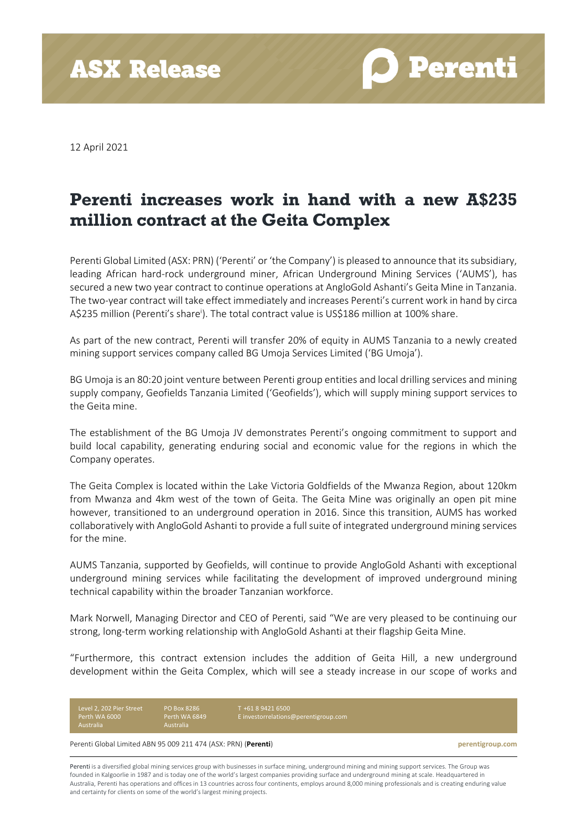**ASX Release** 

**O** Perenti

12 April 2021

## **Perenti increases work in hand with a new A\$235 million contract at the Geita Complex**

Perenti Global Limited (ASX: PRN) ('Perenti' or 'the Company') is pleased to announce that its subsidiary, leading African hard-rock underground miner, African Underground Mining Services ('AUMS'), has secured a new two year contract to continue operations at AngloGold Ashanti's Geita Mine in Tanzania. The two-year contract will take effect immediately and increases Perenti's current work in hand by circa A\$235 million (Perenti's share<sup>i</sup> ). The total contract value is US\$186 million at 100% share.

As part of the new contract, Perenti will transfer 20% of equity in AUMS Tanzania to a newly created mining support services company called BG Umoja Services Limited ('BG Umoja').

BG Umoja is an 80:20 joint venture between Perenti group entities and local drilling services and mining supply company, Geofields Tanzania Limited ('Geofields'), which will supply mining support services to the Geita mine.

The establishment of the BG Umoja JV demonstrates Perenti's ongoing commitment to support and build local capability, generating enduring social and economic value for the regions in which the Company operates.

The Geita Complex is located within the Lake Victoria Goldfields of the Mwanza Region, about 120km from Mwanza and 4km west of the town of Geita. The Geita Mine was originally an open pit mine however, transitioned to an underground operation in 2016. Since this transition, AUMS has worked collaboratively with AngloGold Ashanti to provide a full suite of integrated underground mining services for the mine.

AUMS Tanzania, supported by Geofields, will continue to provide AngloGold Ashanti with exceptional underground mining services while facilitating the development of improved underground mining technical capability within the broader Tanzanian workforce.

Mark Norwell, Managing Director and CEO of Perenti, said "We are very pleased to be continuing our strong, long-term working relationship with AngloGold Ashanti at their flagship Geita Mine.

"Furthermore, this contract extension includes the addition of Geita Hill, a new underground development within the Geita Complex, which will see a steady increase in our scope of works and

Level 2, 202 Pier Street Perth WA 6000 Australia PO Box 8286 Perth WA 6849 +61 8 9421 6500

[E investorrelations@perentigroup.com](mailto:investorrelations@perentigroup.com)

Perenti Global Limited ABN 95 009 211 474 (ASX: PRN) (**Perenti**) **perentigroup.com**

Perenti is a diversified global mining services group with businesses in surface mining, underground mining and mining support services. The Group was founded in Kalgoorlie in 1987 and is today one of the world's largest companies providing surface and underground mining at scale. Headquartered in Australia, Perenti has operations and offices in 13 countries across four continents, employs around 8,000 mining professionals and is creating enduring value and certainty for clients on some of the world's largest mining projects.